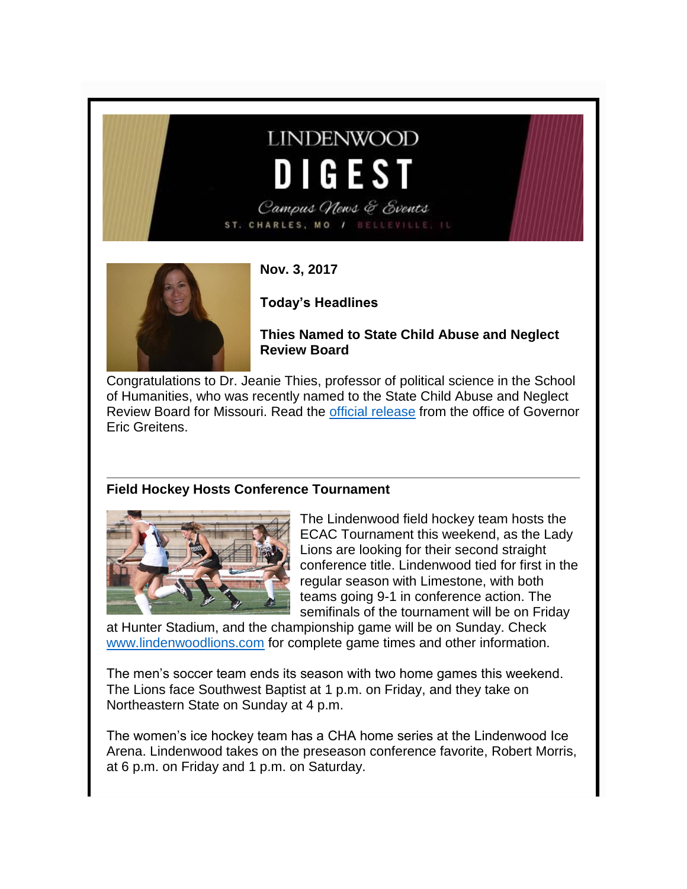# **LINDENWOOD** DIGEST

Campus News & Events ST. CHARLES, MO / BELLEVILLE, IL



**Nov. 3, 2017**

**Today's Headlines**

**Thies Named to State Child Abuse and Neglect Review Board**

Congratulations to Dr. Jeanie Thies, professor of political science in the School of Humanities, who was recently named to the State Child Abuse and Neglect Review Board for Missouri. Read the [official release](http://felix.lindenwood.edu/newsletter/2017_11/governorrelease.pdf) from the office of Governor Eric Greitens.

#### **Field Hockey Hosts Conference Tournament**



The Lindenwood field hockey team hosts the ECAC Tournament this weekend, as the Lady Lions are looking for their second straight conference title. Lindenwood tied for first in the regular season with Limestone, with both teams going 9-1 in conference action. The semifinals of the tournament will be on Friday

at Hunter Stadium, and the championship game will be on Sunday. Check [www.lindenwoodlions.com](http://www.lindenwoodlions.com/) for complete game times and other information.

The men's soccer team ends its season with two home games this weekend. The Lions face Southwest Baptist at 1 p.m. on Friday, and they take on Northeastern State on Sunday at 4 p.m.

The women's ice hockey team has a CHA home series at the Lindenwood Ice Arena. Lindenwood takes on the preseason conference favorite, Robert Morris, at 6 p.m. on Friday and 1 p.m. on Saturday.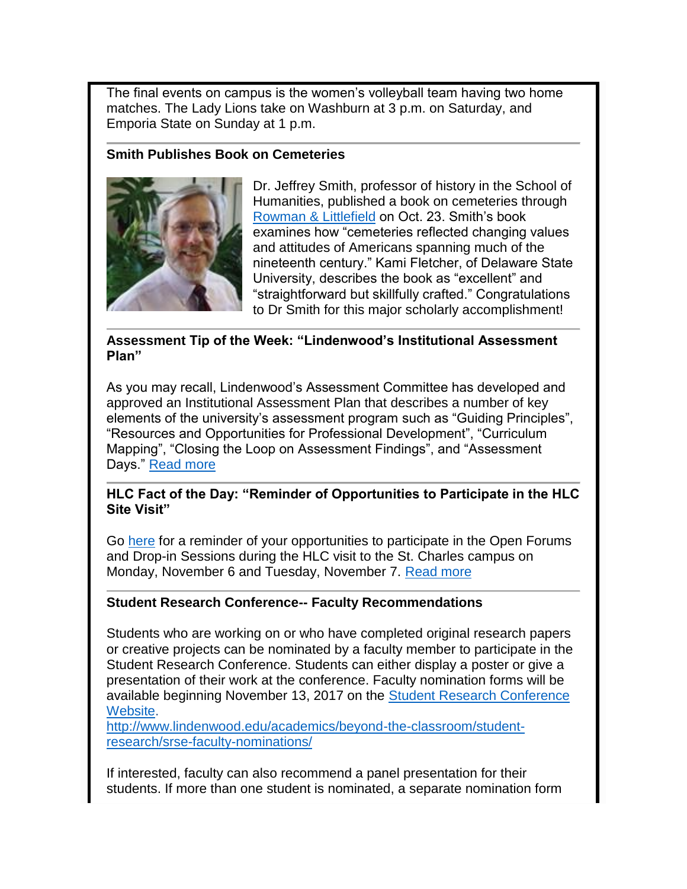The final events on campus is the women's volleyball team having two home matches. The Lady Lions take on Washburn at 3 p.m. on Saturday, and Emporia State on Sunday at 1 p.m.

#### **Smith Publishes Book on Cemeteries**



Dr. Jeffrey Smith, professor of history in the School of Humanities, published a book on cemeteries through [Rowman & Littlefield](https://rowman.com/ISBN/9781498529013/The-Rural-Cemetery-Movement-Places-of-Paradox-in-Nineteenth-Century-America) on Oct. 23. Smith's book examines how "cemeteries reflected changing values and attitudes of Americans spanning much of the nineteenth century." Kami Fletcher, of Delaware State University, describes the book as "excellent" and "straightforward but skillfully crafted." Congratulations to Dr Smith for this major scholarly accomplishment!

#### **Assessment Tip of the Week: "Lindenwood's Institutional Assessment Plan"**

As you may recall, Lindenwood's Assessment Committee has developed and approved an Institutional Assessment Plan that describes a number of key elements of the university's assessment program such as "Guiding Principles", "Resources and Opportunities for Professional Development", "Curriculum Mapping", "Closing the Loop on Assessment Findings", and "Assessment Days." [Read more](http://felix.lindenwood.edu/newsletter/2017_11/tip_nov3.pdf)

#### **HLC Fact of the Day: "Reminder of Opportunities to Participate in the HLC Site Visit"**

Go [here](https://lindenwood.libguides.com/ld.php?content_id=37183292) for a reminder of your opportunities to participate in the Open Forums and Drop-in Sessions during the HLC visit to the St. Charles campus on Monday, November 6 and Tuesday, November 7. [Read more](http://felix.lindenwood.edu/newsletter/2017_11/fact_nov3.pdf)

#### **Student Research Conference-- Faculty Recommendations**

Students who are working on or who have completed original research papers or creative projects can be nominated by a faculty member to participate in the Student Research Conference. Students can either display a poster or give a presentation of their work at the conference. Faculty nomination forms will be available beginning November 13, 2017 on the [Student Research Conference](http://www.lindenwood.edu/academics/beyond-the-classroom/student-research/)  [Website.](http://www.lindenwood.edu/academics/beyond-the-classroom/student-research/)

[http://www.lindenwood.edu/academics/beyond-the-classroom/student](http://www.lindenwood.edu/academics/beyond-the-classroom/student-research/srse-faculty-nominations/)[research/srse-faculty-nominations/](http://www.lindenwood.edu/academics/beyond-the-classroom/student-research/srse-faculty-nominations/)

If interested, faculty can also recommend a panel presentation for their students. If more than one student is nominated, a separate nomination form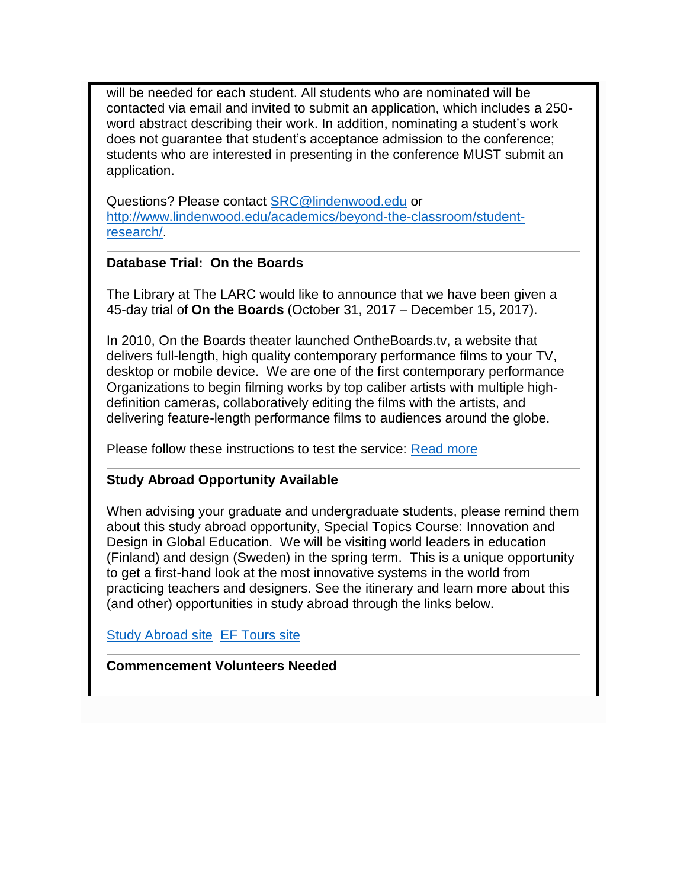will be needed for each student. All students who are nominated will be contacted via email and invited to submit an application, which includes a 250 word abstract describing their work. In addition, nominating a student's work does not guarantee that student's acceptance admission to the conference; students who are interested in presenting in the conference MUST submit an application.

Questions? Please contact [SRC@lindenwood.edu](mailto:SRC@lindenwood.edu) or [http://www.lindenwood.edu/academics/beyond-the-classroom/student](http://www.lindenwood.edu/academics/beyond-the-classroom/student-research/)[research/.](http://www.lindenwood.edu/academics/beyond-the-classroom/student-research/)

#### **Database Trial: On the Boards**

The Library at The LARC would like to announce that we have been given a 45-day trial of **On the Boards** (October 31, 2017 – December 15, 2017).

In 2010, On the Boards theater launched OntheBoards.tv, a website that delivers full-length, high quality contemporary performance films to your TV, desktop or mobile device. We are one of the first contemporary performance Organizations to begin filming works by top caliber artists with multiple highdefinition cameras, collaboratively editing the films with the artists, and delivering feature-length performance films to audiences around the globe.

Please follow these instructions to test the service: [Read more](http://felix.lindenwood.edu/newsletter/2017_11/databasetrial.pdf)

#### **Study Abroad Opportunity Available**

When advising your graduate and undergraduate students, please remind them about this study abroad opportunity, Special Topics Course: Innovation and Design in Global Education. We will be visiting world leaders in education (Finland) and design (Sweden) in the spring term. This is a unique opportunity to get a first-hand look at the most innovative systems in the world from practicing teachers and designers. See the itinerary and learn more about this (and other) opportunities in study abroad through the links below.

[Study Abroad site](http://www.lindenwood.edu/academics/beyond-the-classroom/study-abroad/study-abroad-courses-2017-2018/) [EF Tours site](https://www.efcollegestudytours.com/professors-trip/2029065RZ)

**Commencement Volunteers Needed**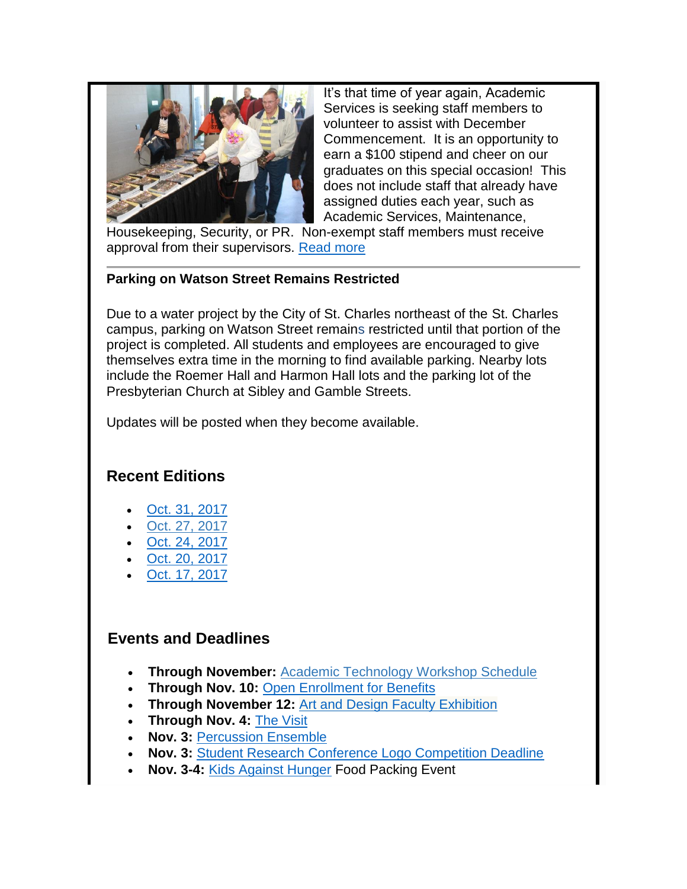

It's that time of year again, Academic Services is seeking staff members to volunteer to assist with December Commencement. It is an opportunity to earn a \$100 stipend and cheer on our graduates on this special occasion! This does not include staff that already have assigned duties each year, such as Academic Services, Maintenance,

Housekeeping, Security, or PR. Non-exempt staff members must receive approval from their supervisors. [Read more](http://felix.lindenwood.edu/newsletter/2017_10/commencementvolunteers.pdf)

#### **Parking on Watson Street Remains Restricted**

Due to a water project by the City of St. Charles northeast of the St. Charles campus, parking on Watson Street remains restricted until that portion of the project is completed. All students and employees are encouraged to give themselves extra time in the morning to find available parking. Nearby lots include the Roemer Hall and Harmon Hall lots and the parking lot of the Presbyterian Church at Sibley and Gamble Streets.

Updates will be posted when they become available.

## **Recent Editions**

- [Oct. 31, 2017](http://felix.lindenwood.edu/newsletter/digest/2017_10/2017_10_31.pdf)
- [Oct. 27, 2017](http://felix.lindenwood.edu/newsletter/digest/2017_10/2017_10_27.pdf)
- [Oct. 24, 2017](http://felix.lindenwood.edu/newsletter/digest/2017_10/2017_10_24.pdf)
- [Oct. 20, 2017](http://felix.lindenwood.edu/newsletter/digest/2017_10/2017_10_20.pdf)
- [Oct. 17, 2017](http://felix.lindenwood.edu/newsletter/digest/2017_10/2017_10_17.pdf)

### **Events and Deadlines**

- **Through November:** [Academic Technology Workshop Schedule](http://felix.lindenwood.edu/newsletter/2017_08/fall2017workshopcatalog.pdf)
- **Through Nov. 10:** [Open Enrollment for Benefits](http://felix.lindenwood.edu/newsletter/2017_10/openenrollment.pdf)
- **Through November 12:** [Art and Design Faculty Exhibition](http://www.lindenwood.edu/j-scheidegger-center-for-the-arts/upcoming-events/art-exhibits/)
- **Through Nov. 4:** [The Visit](http://www.lindenwood.edu/j-scheidegger-center-for-the-arts/upcoming-events/university-theater/the-visit-nov-2-4/)
- **Nov. 3:** [Percussion Ensemble](http://www.lindenwood.edu/j-scheidegger-center-for-the-arts/upcoming-events/music/)
- **Nov. 3:** [Student Research Conference Logo Competition Deadline](http://felix.lindenwood.edu/newsletter/2017_10/logocompetition.pdf)
- **Nov. 3-4:** [Kids Against Hunger](http://felix.lindenwood.edu/newsletter/2017_10/kidsagainsthunger.pdf) Food Packing Event